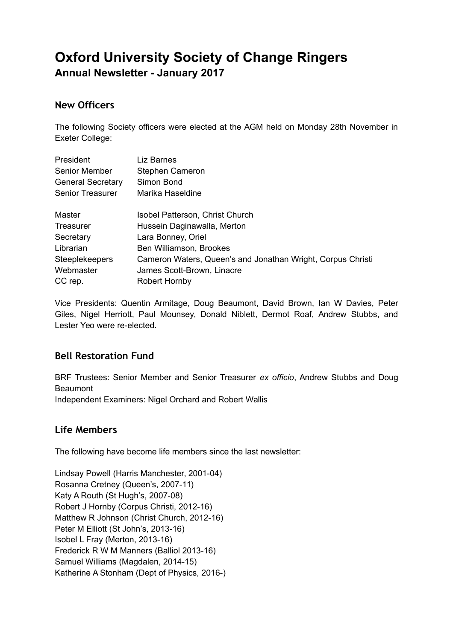# **Oxford University Society of Change Ringers**

**Annual Newsletter - January 2017**

## **New Officers**

The following Society officers were elected at the AGM held on Monday 28th November in Exeter College:

| President                | Liz Barnes                                                  |
|--------------------------|-------------------------------------------------------------|
| <b>Senior Member</b>     | Stephen Cameron                                             |
| <b>General Secretary</b> | Simon Bond                                                  |
| Senior Treasurer         | Marika Haseldine                                            |
| Master                   | Isobel Patterson, Christ Church                             |
| Treasurer                | Hussein Daginawalla, Merton                                 |
| Secretary                | Lara Bonney, Oriel                                          |
| Librarian                | Ben Williamson, Brookes                                     |
| <b>Steeplekeepers</b>    | Cameron Waters, Queen's and Jonathan Wright, Corpus Christi |
| Webmaster                | James Scott-Brown, Linacre                                  |
| CC rep.                  | Robert Hornby                                               |

Vice Presidents: Quentin Armitage, Doug Beaumont, David Brown, Ian W Davies, Peter Giles, Nigel Herriott, Paul Mounsey, Donald Niblett, Dermot Roaf, Andrew Stubbs, and Lester Yeo were re-elected.

## **Bell Restoration Fund**

BRF Trustees: Senior Member and Senior Treasurer *ex officio*, Andrew Stubbs and Doug Beaumont Independent Examiners: Nigel Orchard and Robert Wallis

## **Life Members**

The following have become life members since the last newsletter:

Lindsay Powell (Harris Manchester, 2001-04) Rosanna Cretney (Queen's, 2007-11) Katy A Routh (St Hugh's, 2007-08) Robert J Hornby (Corpus Christi, 2012-16) Matthew R Johnson (Christ Church, 2012-16) Peter M Elliott (St John's, 2013-16) Isobel L Fray (Merton, 2013-16) Frederick R W M Manners (Balliol 2013-16) Samuel Williams (Magdalen, 2014-15) Katherine A Stonham (Dept of Physics, 2016-)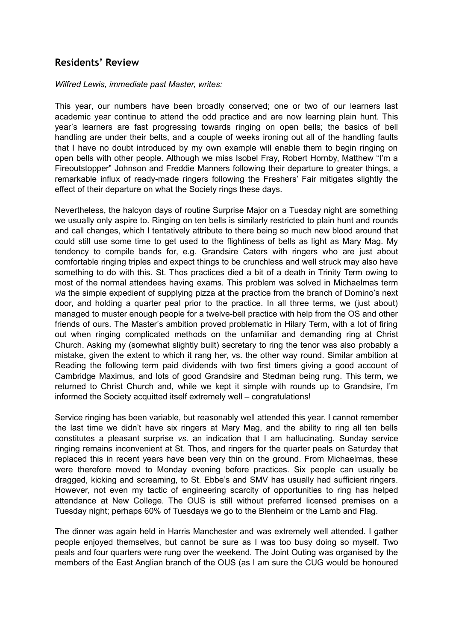### **Residents' Review**

#### *Wilfred Lewis, immediate past Master, writes:*

This year, our numbers have been broadly conserved; one or two of our learners last academic year continue to attend the odd practice and are now learning plain hunt. This year's learners are fast progressing towards ringing on open bells; the basics of bell handling are under their belts, and a couple of weeks ironing out all of the handling faults that I have no doubt introduced by my own example will enable them to begin ringing on open bells with other people. Although we miss Isobel Fray, Robert Hornby, Matthew "I'm a Fireoutstopper" Johnson and Freddie Manners following their departure to greater things, a remarkable influx of ready-made ringers following the Freshers' Fair mitigates slightly the effect of their departure on what the Society rings these days.

Nevertheless, the halcyon days of routine Surprise Major on a Tuesday night are something we usually only aspire to. Ringing on ten bells is similarly restricted to plain hunt and rounds and call changes, which I tentatively attribute to there being so much new blood around that could still use some time to get used to the flightiness of bells as light as Mary Mag. My tendency to compile bands for, e.g. Grandsire Caters with ringers who are just about comfortable ringing triples and expect things to be crunchless and well struck may also have something to do with this. St. Thos practices died a bit of a death in Trinity Term owing to most of the normal attendees having exams. This problem was solved in Michaelmas term *via* the simple expedient of supplying pizza at the practice from the branch of Domino's next door, and holding a quarter peal prior to the practice. In all three terms, we (just about) managed to muster enough people for a twelve-bell practice with help from the OS and other friends of ours. The Master's ambition proved problematic in Hilary Term, with a lot of firing out when ringing complicated methods on the unfamiliar and demanding ring at Christ Church. Asking my (somewhat slightly built) secretary to ring the tenor was also probably a mistake, given the extent to which it rang her, vs. the other way round. Similar ambition at Reading the following term paid dividends with two first timers giving a good account of Cambridge Maximus, and lots of good Grandsire and Stedman being rung. This term, we returned to Christ Church and, while we kept it simple with rounds up to Grandsire, I'm informed the Society acquitted itself extremely well – congratulations!

Service ringing has been variable, but reasonably well attended this year. I cannot remember the last time we didn't have six ringers at Mary Mag, and the ability to ring all ten bells constitutes a pleasant surprise *vs.* an indication that I am hallucinating. Sunday service ringing remains inconvenient at St. Thos, and ringers for the quarter peals on Saturday that replaced this in recent years have been very thin on the ground. From Michaelmas, these were therefore moved to Monday evening before practices. Six people can usually be dragged, kicking and screaming, to St. Ebbe's and SMV has usually had sufficient ringers. However, not even my tactic of engineering scarcity of opportunities to ring has helped attendance at New College. The OUS is still without preferred licensed premises on a Tuesday night; perhaps 60% of Tuesdays we go to the Blenheim or the Lamb and Flag.

The dinner was again held in Harris Manchester and was extremely well attended. I gather people enjoyed themselves, but cannot be sure as I was too busy doing so myself. Two peals and four quarters were rung over the weekend. The Joint Outing was organised by the members of the East Anglian branch of the OUS (as I am sure the CUG would be honoured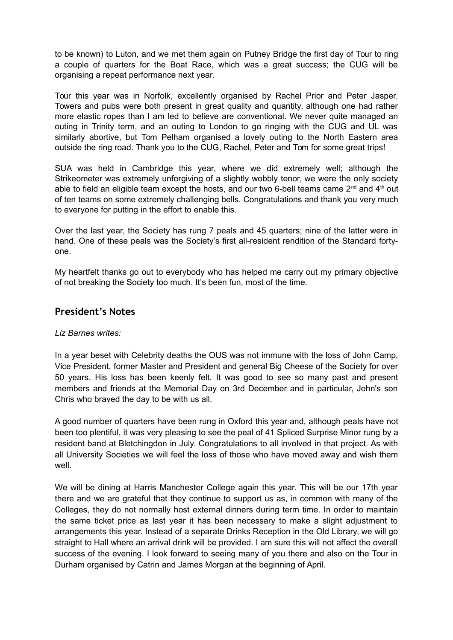to be known) to Luton, and we met them again on Putney Bridge the first day of Tour to ring a couple of quarters for the Boat Race, which was a great success; the CUG will be organising a repeat performance next year.

Tour this year was in Norfolk, excellently organised by Rachel Prior and Peter Jasper. Towers and pubs were both present in great quality and quantity, although one had rather more elastic ropes than I am led to believe are conventional. We never quite managed an outing in Trinity term, and an outing to London to go ringing with the CUG and UL was similarly abortive, but Tom Pelham organised a lovely outing to the North Eastern area outside the ring road. Thank you to the CUG, Rachel, Peter and Tom for some great trips!

SUA was held in Cambridge this year, where we did extremely well; although the Strikeometer was extremely unforgiving of a slightly wobbly tenor, we were the only society able to field an eligible team except the hosts, and our two 6-bell teams came  $2^{nd}$  and  $4^{th}$  out of ten teams on some extremely challenging bells. Congratulations and thank you very much to everyone for putting in the effort to enable this.

Over the last year, the Society has rung 7 peals and 45 quarters; nine of the latter were in hand. One of these peals was the Society's first all-resident rendition of the Standard fortyone.

My heartfelt thanks go out to everybody who has helped me carry out my primary objective of not breaking the Society too much. It's been fun, most of the time.

#### **President's Notes**

#### *Liz Barnes writes:*

In a year beset with Celebrity deaths the OUS was not immune with the loss of John Camp, Vice President, former Master and President and general Big Cheese of the Society for over 50 years. His loss has been keenly felt. It was good to see so many past and present members and friends at the Memorial Day on 3rd December and in particular, John's son Chris who braved the day to be with us all.

A good number of quarters have been rung in Oxford this year and, although peals have not been too plentiful, it was very pleasing to see the peal of 41 Spliced Surprise Minor rung by a resident band at Bletchingdon in July. Congratulations to all involved in that project. As with all University Societies we will feel the loss of those who have moved away and wish them well.

We will be dining at Harris Manchester College again this year. This will be our 17th year there and we are grateful that they continue to support us as, in common with many of the Colleges, they do not normally host external dinners during term time. In order to maintain the same ticket price as last year it has been necessary to make a slight adjustment to arrangements this year. Instead of a separate Drinks Reception in the Old Library, we will go straight to Hall where an arrival drink will be provided. I am sure this will not affect the overall success of the evening. I look forward to seeing many of you there and also on the Tour in Durham organised by Catrin and James Morgan at the beginning of April.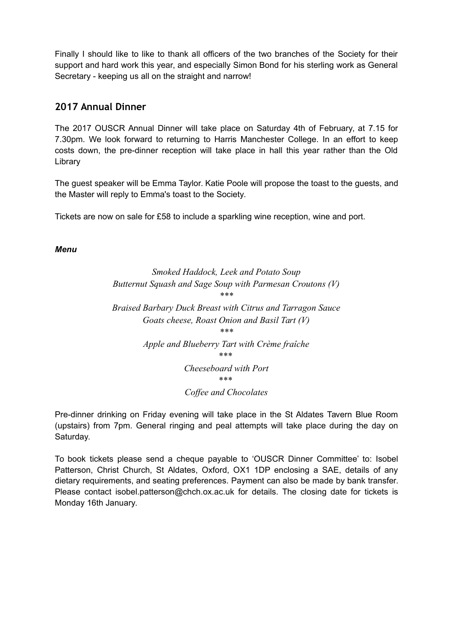Finally I should like to like to thank all officers of the two branches of the Society for their support and hard work this year, and especially Simon Bond for his sterling work as General Secretary - keeping us all on the straight and narrow!

## **2017 Annual Dinner**

The 2017 OUSCR Annual Dinner will take place on Saturday 4th of February, at 7.15 for 7.30pm. We look forward to returning to Harris Manchester College. In an effort to keep costs down, the pre-dinner reception will take place in hall this year rather than the Old Library

The guest speaker will be Emma Taylor. Katie Poole will propose the toast to the guests, and the Master will reply to Emma's toast to the Society.

Tickets are now on sale for £58 to include a sparkling wine reception, wine and port.

#### *Menu*

#### *Smoked Haddock, Leek and Potato Soup Butternut Squash and Sage Soup with Parmesan Croutons (V) \*\*\**

*Braised Barbary Duck Breast with Citrus and Tarragon Sauce Goats cheese, Roast Onion and Basil Tart (V) \*\*\* Apple and Blueberry Tart with Crème fraîche \*\*\* Cheeseboard with Port*

*\*\*\** 

#### *Coffee and Chocolates*

Pre-dinner drinking on Friday evening will take place in the St Aldates Tavern Blue Room (upstairs) from 7pm. General ringing and peal attempts will take place during the day on Saturday.

To book tickets please send a cheque payable to 'OUSCR Dinner Committee' to: Isobel Patterson, Christ Church, St Aldates, Oxford, OX1 1DP enclosing a SAE, details of any dietary requirements, and seating preferences. Payment can also be made by bank transfer. Please contact isobel.patterson@chch.ox.ac.uk for details. The closing date for tickets is Monday 16th January.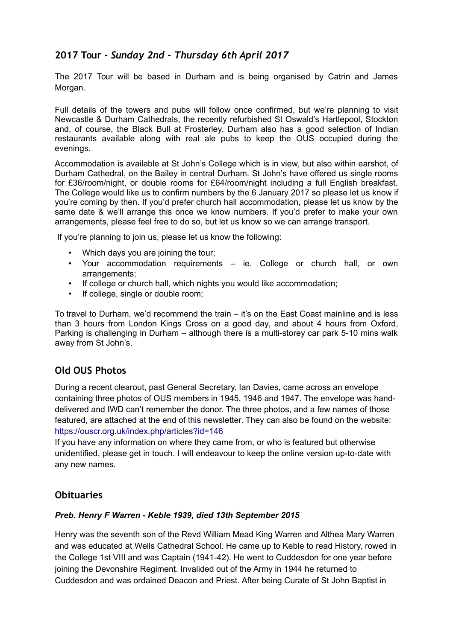## **2017 Tour -** *Sunday 2nd - Thursday 6th April 2017*

The 2017 Tour will be based in Durham and is being organised by Catrin and James Morgan.

Full details of the towers and pubs will follow once confirmed, but we're planning to visit Newcastle & Durham Cathedrals, the recently refurbished St Oswald's Hartlepool, Stockton and, of course, the Black Bull at Frosterley. Durham also has a good selection of Indian restaurants available along with real ale pubs to keep the OUS occupied during the evenings.

Accommodation is available at St John's College which is in view, but also within earshot, of Durham Cathedral, on the Bailey in central Durham. St John's have offered us single rooms for £36/room/night, or double rooms for £64/room/night including a full English breakfast. The College would like us to confirm numbers by the 6 January 2017 so please let us know if you're coming by then. If you'd prefer church hall accommodation, please let us know by the same date & we'll arrange this once we know numbers. If you'd prefer to make your own arrangements, please feel free to do so, but let us know so we can arrange transport.

If you're planning to join us, please let us know the following:

- Which days you are joining the tour;
- Your accommodation requirements ie. College or church hall, or own arrangements;
- If college or church hall, which nights you would like accommodation;
- If college, single or double room;

To travel to Durham, we'd recommend the train – it's on the East Coast mainline and is less than 3 hours from London Kings Cross on a good day, and about 4 hours from Oxford, Parking is challenging in Durham – although there is a multi-storey car park 5-10 mins walk away from St John's.

## **Old OUS Photos**

During a recent clearout, past General Secretary, Ian Davies, came across an envelope containing three photos of OUS members in 1945, 1946 and 1947. The envelope was handdelivered and IWD can't remember the donor. The three photos, and a few names of those featured, are attached at the end of this newsletter. They can also be found on the website: <https://ouscr.org.uk/index.php/articles?id=146>

If you have any information on where they came from, or who is featured but otherwise unidentified, please get in touch. I will endeavour to keep the online version up-to-date with any new names.

## **Obituaries**

#### *Preb. Henry F Warren - Keble 1939, died 13th September 2015*

Henry was the seventh son of the Revd William Mead King Warren and Althea Mary Warren and was educated at Wells Cathedral School. He came up to Keble to read History, rowed in the College 1st VIII and was Captain (1941-42). He went to Cuddesdon for one year before joining the Devonshire Regiment. Invalided out of the Army in 1944 he returned to Cuddesdon and was ordained Deacon and Priest. After being Curate of St John Baptist in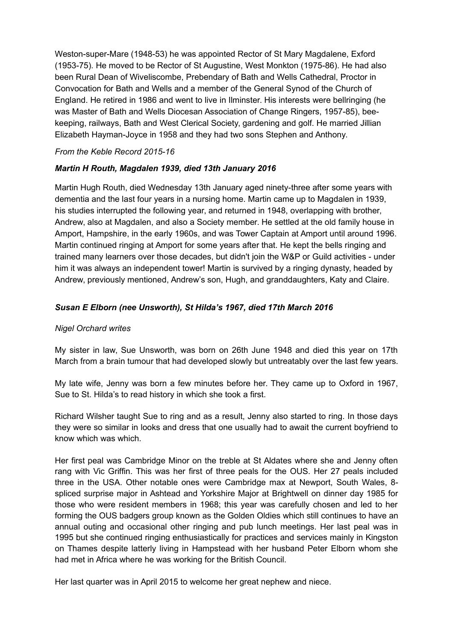Weston-super-Mare (1948-53) he was appointed Rector of St Mary Magdalene, Exford (1953-75). He moved to be Rector of St Augustine, West Monkton (1975-86). He had also been Rural Dean of Wiveliscombe, Prebendary of Bath and Wells Cathedral, Proctor in Convocation for Bath and Wells and a member of the General Synod of the Church of England. He retired in 1986 and went to live in Ilminster. His interests were bellringing (he was Master of Bath and Wells Diocesan Association of Change Ringers, 1957-85), beekeeping, railways, Bath and West Clerical Society, gardening and golf. He married Jillian Elizabeth Hayman-Joyce in 1958 and they had two sons Stephen and Anthony.

#### *From the Keble Record 2015-16*

#### *Martin H Routh, Magdalen 1939, died 13th January 2016*

Martin Hugh Routh, died Wednesday 13th January aged ninety-three after some years with dementia and the last four years in a nursing home. Martin came up to Magdalen in 1939, his studies interrupted the following year, and returned in 1948, overlapping with brother, Andrew, also at Magdalen, and also a Society member. He settled at the old family house in Amport, Hampshire, in the early 1960s, and was Tower Captain at Amport until around 1996. Martin continued ringing at Amport for some years after that. He kept the bells ringing and trained many learners over those decades, but didn't join the W&P or Guild activities - under him it was always an independent tower! Martin is survived by a ringing dynasty, headed by Andrew, previously mentioned, Andrew's son, Hugh, and granddaughters, Katy and Claire.

#### *Susan E Elborn (nee Unsworth), St Hilda's 1967, died 17th March 2016*

#### *Nigel Orchard writes*

My sister in law, Sue Unsworth, was born on 26th June 1948 and died this year on 17th March from a brain tumour that had developed slowly but untreatably over the last few years.

My late wife, Jenny was born a few minutes before her. They came up to Oxford in 1967, Sue to St. Hilda's to read history in which she took a first.

Richard Wilsher taught Sue to ring and as a result, Jenny also started to ring. In those days they were so similar in looks and dress that one usually had to await the current boyfriend to know which was which.

Her first peal was Cambridge Minor on the treble at St Aldates where she and Jenny often rang with Vic Griffin. This was her first of three peals for the OUS. Her 27 peals included three in the USA. Other notable ones were Cambridge max at Newport, South Wales, 8 spliced surprise major in Ashtead and Yorkshire Major at Brightwell on dinner day 1985 for those who were resident members in 1968; this year was carefully chosen and led to her forming the OUS badgers group known as the Golden Oldies which still continues to have an annual outing and occasional other ringing and pub lunch meetings. Her last peal was in 1995 but she continued ringing enthusiastically for practices and services mainly in Kingston on Thames despite latterly living in Hampstead with her husband Peter Elborn whom she had met in Africa where he was working for the British Council.

Her last quarter was in April 2015 to welcome her great nephew and niece.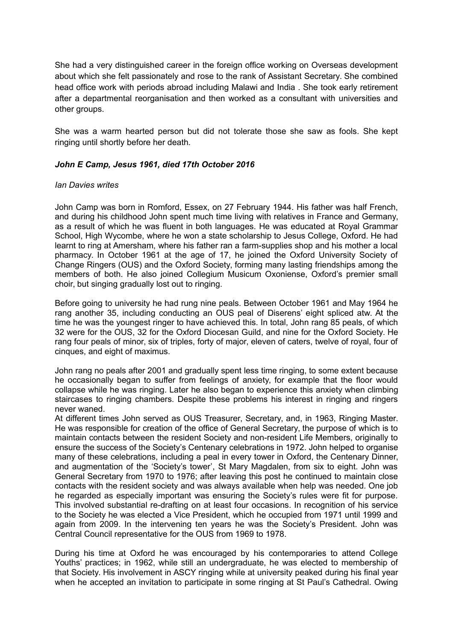She had a very distinguished career in the foreign office working on Overseas development about which she felt passionately and rose to the rank of Assistant Secretary. She combined head office work with periods abroad including Malawi and India . She took early retirement after a departmental reorganisation and then worked as a consultant with universities and other groups.

She was a warm hearted person but did not tolerate those she saw as fools. She kept ringing until shortly before her death.

#### *John E Camp, Jesus 1961, died 17th October 2016*

#### *Ian Davies writes*

John Camp was born in Romford, Essex, on 27 February 1944. His father was half French, and during his childhood John spent much time living with relatives in France and Germany, as a result of which he was fluent in both languages. He was educated at Royal Grammar School, High Wycombe, where he won a state scholarship to Jesus College, Oxford. He had learnt to ring at Amersham, where his father ran a farm-supplies shop and his mother a local pharmacy. In October 1961 at the age of 17, he joined the Oxford University Society of Change Ringers (OUS) and the Oxford Society, forming many lasting friendships among the members of both. He also joined Collegium Musicum Oxoniense, Oxford's premier small choir, but singing gradually lost out to ringing.

Before going to university he had rung nine peals. Between October 1961 and May 1964 he rang another 35, including conducting an OUS peal of Diserens' eight spliced atw. At the time he was the youngest ringer to have achieved this. In total, John rang 85 peals, of which 32 were for the OUS, 32 for the Oxford Diocesan Guild, and nine for the Oxford Society. He rang four peals of minor, six of triples, forty of major, eleven of caters, twelve of royal, four of cinques, and eight of maximus.

John rang no peals after 2001 and gradually spent less time ringing, to some extent because he occasionally began to suffer from feelings of anxiety, for example that the floor would collapse while he was ringing. Later he also began to experience this anxiety when climbing staircases to ringing chambers. Despite these problems his interest in ringing and ringers never waned.

At different times John served as OUS Treasurer, Secretary, and, in 1963, Ringing Master. He was responsible for creation of the office of General Secretary, the purpose of which is to maintain contacts between the resident Society and non-resident Life Members, originally to ensure the success of the Society's Centenary celebrations in 1972. John helped to organise many of these celebrations, including a peal in every tower in Oxford, the Centenary Dinner, and augmentation of the 'Society's tower', St Mary Magdalen, from six to eight. John was General Secretary from 1970 to 1976; after leaving this post he continued to maintain close contacts with the resident society and was always available when help was needed. One job he regarded as especially important was ensuring the Society's rules were fit for purpose. This involved substantial re-drafting on at least four occasions. In recognition of his service to the Society he was elected a Vice President, which he occupied from 1971 until 1999 and again from 2009. In the intervening ten years he was the Society's President. John was Central Council representative for the OUS from 1969 to 1978.

During his time at Oxford he was encouraged by his contemporaries to attend College Youths' practices; in 1962, while still an undergraduate, he was elected to membership of that Society. His involvement in ASCY ringing while at university peaked during his final year when he accepted an invitation to participate in some ringing at St Paul's Cathedral. Owing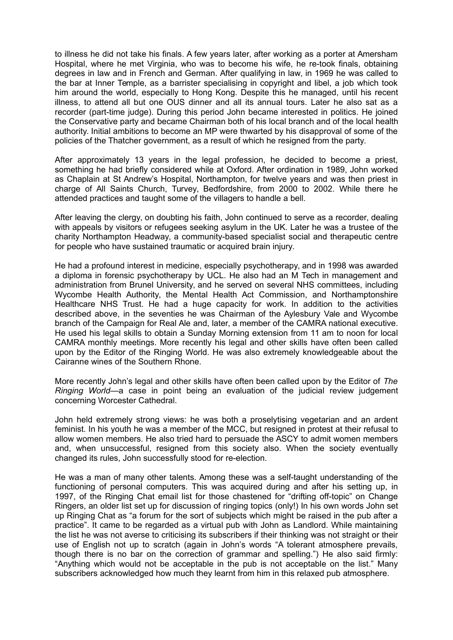to illness he did not take his finals. A few years later, after working as a porter at Amersham Hospital, where he met Virginia, who was to become his wife, he re-took finals, obtaining degrees in law and in French and German. After qualifying in law, in 1969 he was called to the bar at Inner Temple, as a barrister specialising in copyright and libel, a job which took him around the world, especially to Hong Kong. Despite this he managed, until his recent illness, to attend all but one OUS dinner and all its annual tours. Later he also sat as a recorder (part-time judge). During this period John became interested in politics. He joined the Conservative party and became Chairman both of his local branch and of the local health authority. Initial ambitions to become an MP were thwarted by his disapproval of some of the policies of the Thatcher government, as a result of which he resigned from the party.

After approximately 13 years in the legal profession, he decided to become a priest, something he had briefly considered while at Oxford. After ordination in 1989, John worked as Chaplain at St Andrew's Hospital, Northampton, for twelve years and was then priest in charge of All Saints Church, Turvey, Bedfordshire, from 2000 to 2002. While there he attended practices and taught some of the villagers to handle a bell.

After leaving the clergy, on doubting his faith, John continued to serve as a recorder, dealing with appeals by visitors or refugees seeking asylum in the UK. Later he was a trustee of the charity Northampton Headway, a community-based specialist social and therapeutic centre for people who have sustained traumatic or acquired brain injury.

He had a profound interest in medicine, especially psychotherapy, and in 1998 was awarded a diploma in forensic psychotherapy by UCL. He also had an M Tech in management and administration from Brunel University, and he served on several NHS committees, including Wycombe Health Authority, the Mental Health Act Commission, and Northamptonshire Healthcare NHS Trust. He had a huge capacity for work. In addition to the activities described above, in the seventies he was Chairman of the Aylesbury Vale and Wycombe branch of the Campaign for Real Ale and, later, a member of the CAMRA national executive. He used his legal skills to obtain a Sunday Morning extension from 11 am to noon for local CAMRA monthly meetings. More recently his legal and other skills have often been called upon by the Editor of the Ringing World. He was also extremely knowledgeable about the Cairanne wines of the Southern Rhone.

More recently John's legal and other skills have often been called upon by the Editor of *The Ringing World*—a case in point being an evaluation of the judicial review judgement concerning Worcester Cathedral.

John held extremely strong views: he was both a proselytising vegetarian and an ardent feminist. In his youth he was a member of the MCC, but resigned in protest at their refusal to allow women members. He also tried hard to persuade the ASCY to admit women members and, when unsuccessful, resigned from this society also. When the society eventually changed its rules, John successfully stood for re-election.

He was a man of many other talents. Among these was a self-taught understanding of the functioning of personal computers. This was acquired during and after his setting up, in 1997, of the Ringing Chat email list for those chastened for "drifting off-topic" on Change Ringers, an older list set up for discussion of ringing topics (only!) In his own words John set up Ringing Chat as "a forum for the sort of subjects which might be raised in the pub after a practice". It came to be regarded as a virtual pub with John as Landlord. While maintaining the list he was not averse to criticising its subscribers if their thinking was not straight or their use of English not up to scratch (again in John's words "A tolerant atmosphere prevails, though there is no bar on the correction of grammar and spelling.") He also said firmly: "Anything which would not be acceptable in the pub is not acceptable on the list." Many subscribers acknowledged how much they learnt from him in this relaxed pub atmosphere.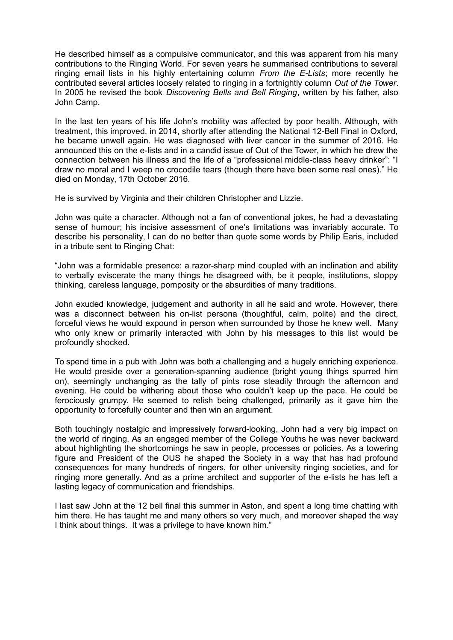He described himself as a compulsive communicator, and this was apparent from his many contributions to the Ringing World. For seven years he summarised contributions to several ringing email lists in his highly entertaining column *From the E-Lists*; more recently he contributed several articles loosely related to ringing in a fortnightly column *Out of the Tower*. In 2005 he revised the book *Discovering Bells and Bell Ringing*, written by his father, also John Camp.

In the last ten years of his life John's mobility was affected by poor health. Although, with treatment, this improved, in 2014, shortly after attending the National 12-Bell Final in Oxford, he became unwell again. He was diagnosed with liver cancer in the summer of 2016. He announced this on the e-lists and in a candid issue of Out of the Tower, in which he drew the connection between his illness and the life of a "professional middle-class heavy drinker": "I draw no moral and I weep no crocodile tears (though there have been some real ones)." He died on Monday, 17th October 2016.

He is survived by Virginia and their children Christopher and Lizzie.

John was quite a character. Although not a fan of conventional jokes, he had a devastating sense of humour; his incisive assessment of one's limitations was invariably accurate. To describe his personality, I can do no better than quote some words by Philip Earis, included in a tribute sent to Ringing Chat:

"John was a formidable presence: a razor-sharp mind coupled with an inclination and ability to verbally eviscerate the many things he disagreed with, be it people, institutions, sloppy thinking, careless language, pomposity or the absurdities of many traditions.

John exuded knowledge, judgement and authority in all he said and wrote. However, there was a disconnect between his on-list persona (thoughtful, calm, polite) and the direct, forceful views he would expound in person when surrounded by those he knew well. Many who only knew or primarily interacted with John by his messages to this list would be profoundly shocked.

To spend time in a pub with John was both a challenging and a hugely enriching experience. He would preside over a generation-spanning audience (bright young things spurred him on), seemingly unchanging as the tally of pints rose steadily through the afternoon and evening. He could be withering about those who couldn't keep up the pace. He could be ferociously grumpy. He seemed to relish being challenged, primarily as it gave him the opportunity to forcefully counter and then win an argument.

Both touchingly nostalgic and impressively forward-looking, John had a very big impact on the world of ringing. As an engaged member of the College Youths he was never backward about highlighting the shortcomings he saw in people, processes or policies. As a towering figure and President of the OUS he shaped the Society in a way that has had profound consequences for many hundreds of ringers, for other university ringing societies, and for ringing more generally. And as a prime architect and supporter of the e-lists he has left a lasting legacy of communication and friendships.

I last saw John at the 12 bell final this summer in Aston, and spent a long time chatting with him there. He has taught me and many others so very much, and moreover shaped the way I think about things. It was a privilege to have known him."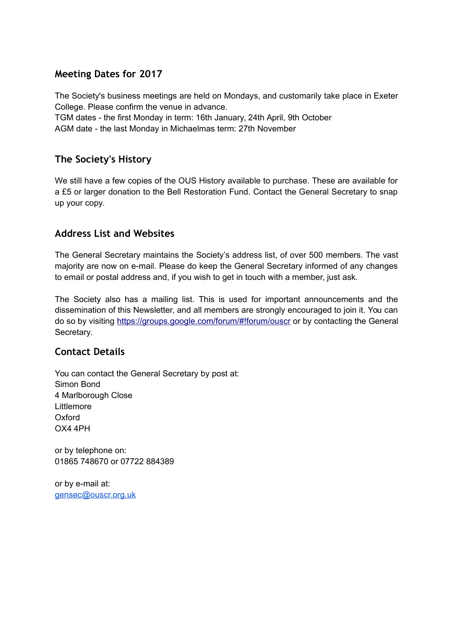## **Meeting Dates for 2017**

The Society's business meetings are held on Mondays, and customarily take place in Exeter College. Please confirm the venue in advance.

TGM dates - the first Monday in term: 16th January, 24th April, 9th October AGM date - the last Monday in Michaelmas term: 27th November

## **The Society's History**

We still have a few copies of the OUS History available to purchase. These are available for a £5 or larger donation to the Bell Restoration Fund. Contact the General Secretary to snap up your copy.

## **Address List and Websites**

The General Secretary maintains the Society's address list, of over 500 members. The vast majority are now on e-mail. Please do keep the General Secretary informed of any changes to email or postal address and, if you wish to get in touch with a member, just ask.

The Society also has a mailing list. This is used for important announcements and the dissemination of this Newsletter, and all members are strongly encouraged to join it. You can do so by visiting<https://groups.google.com/forum/#!forum/ouscr>or by contacting the General Secretary.

## **Contact Details**

You can contact the General Secretary by post at: Simon Bond 4 Marlborough Close Littlemore Oxford OX4 4PH

or by telephone on: 01865 748670 or 07722 884389

or by e-mail at: [gensec@ouscr.org.uk](mailto:gensec@ouscr.org.uk)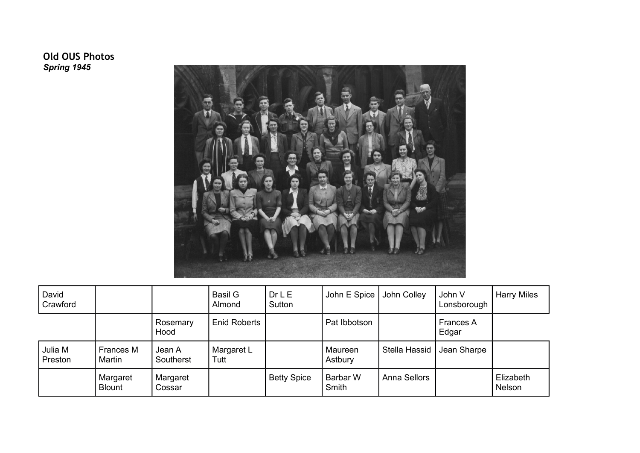## **Old OUS Photos** *Spring 1945*



| David<br>Crawford  |                           |                     | Basil G<br>Almond  | Dr <sub>L</sub><br>Sutton | John E Spice       | John Colley         | John V<br>Lonsborough     | <b>Harry Miles</b>  |
|--------------------|---------------------------|---------------------|--------------------|---------------------------|--------------------|---------------------|---------------------------|---------------------|
|                    |                           | Rosemary<br>Hood    | Enid Roberts       |                           | Pat Ibbotson       |                     | <b>Frances A</b><br>Edgar |                     |
| Julia M<br>Preston | Frances M<br>Martin       | Jean A<br>Southerst | Margaret L<br>Tutt |                           | Maureen<br>Astbury | Stella Hassid       | Jean Sharpe               |                     |
|                    | Margaret<br><b>Blount</b> | Margaret<br>Cossar  |                    | <b>Betty Spice</b>        | Barbar W<br>Smith  | <b>Anna Sellors</b> |                           | Elizabeth<br>Nelson |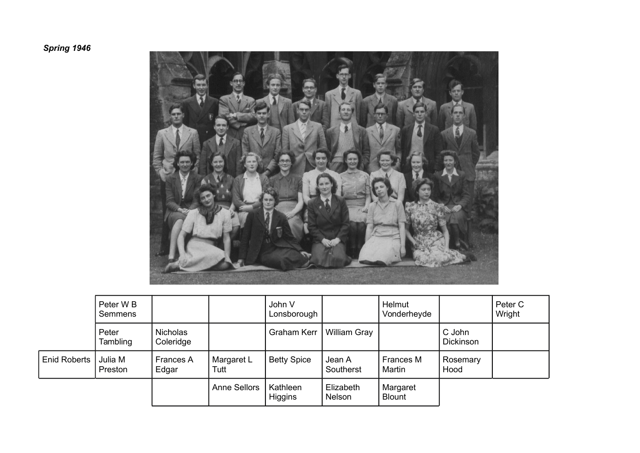# *Spring 1946*



|                     | Peter W <sub>B</sub><br>Semmens |                              |                     | John V<br>Lonsborough      |                     | <b>Helmut</b><br>Vonderheyde |                     | Peter C<br>Wright |
|---------------------|---------------------------------|------------------------------|---------------------|----------------------------|---------------------|------------------------------|---------------------|-------------------|
|                     | Peter<br>Tambling               | <b>Nicholas</b><br>Coleridge |                     | Graham Kerr                | <b>William Gray</b> |                              | C John<br>Dickinson |                   |
| <b>Enid Roberts</b> | Julia M<br>Preston              | <b>Frances A</b><br>Edgar    | Margaret L<br>Tutt  | <b>Betty Spice</b>         | Jean A<br>Southerst | Frances M<br>Martin          | Rosemary<br>Hood    |                   |
|                     |                                 |                              | <b>Anne Sellors</b> | Kathleen<br><b>Higgins</b> | Elizabeth<br>Nelson | Margaret<br><b>Blount</b>    |                     |                   |